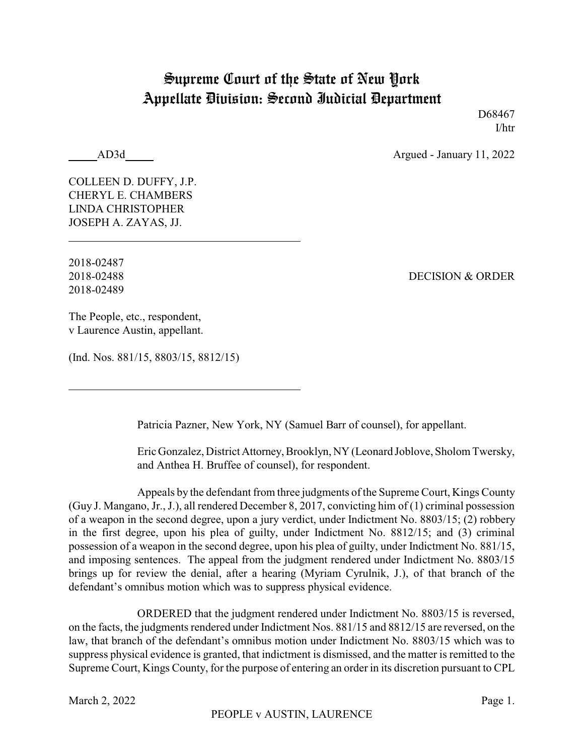## Supreme Court of the State of New York Appellate Division: Second Judicial Department

D68467 I/htr

AD3d Argued - January 11, 2022

COLLEEN D. DUFFY, J.P. CHERYL E. CHAMBERS LINDA CHRISTOPHER JOSEPH A. ZAYAS, JJ.

2018-02487 2018-02489

2018-02488 DECISION & ORDER

The People, etc., respondent, v Laurence Austin, appellant.

(Ind. Nos. 881/15, 8803/15, 8812/15)

Patricia Pazner, New York, NY (Samuel Barr of counsel), for appellant.

Eric Gonzalez, DistrictAttorney, Brooklyn, NY (Leonard Joblove, Sholom Twersky, and Anthea H. Bruffee of counsel), for respondent.

Appeals by the defendant from three judgments of the Supreme Court, Kings County (Guy J. Mangano, Jr., J.), all rendered December 8, 2017, convicting him of (1) criminal possession of a weapon in the second degree, upon a jury verdict, under Indictment No. 8803/15; (2) robbery in the first degree, upon his plea of guilty, under Indictment No. 8812/15; and (3) criminal possession of a weapon in the second degree, upon his plea of guilty, under Indictment No. 881/15, and imposing sentences. The appeal from the judgment rendered under Indictment No. 8803/15 brings up for review the denial, after a hearing (Myriam Cyrulnik, J.), of that branch of the defendant's omnibus motion which was to suppress physical evidence.

ORDERED that the judgment rendered under Indictment No. 8803/15 is reversed, on the facts, the judgments rendered under Indictment Nos. 881/15 and 8812/15 are reversed, on the law, that branch of the defendant's omnibus motion under Indictment No. 8803/15 which was to suppress physical evidence is granted, that indictment is dismissed, and the matter is remitted to the Supreme Court, Kings County, for the purpose of entering an order in its discretion pursuant to CPL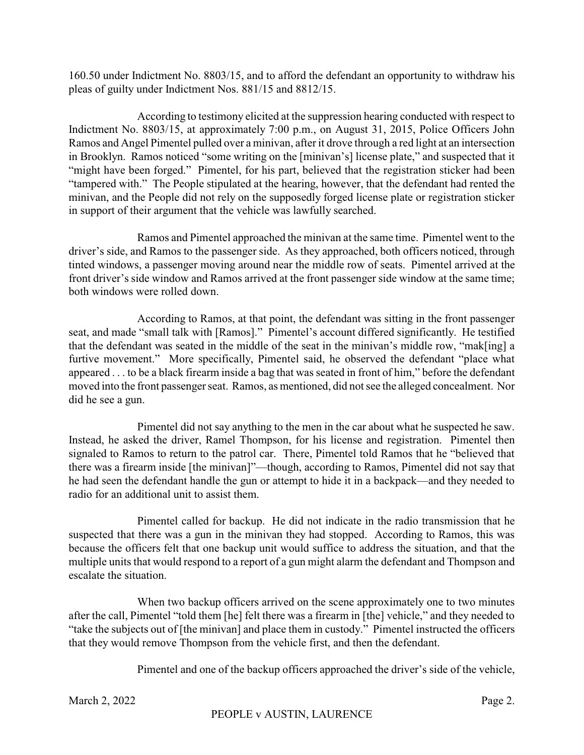160.50 under Indictment No. 8803/15, and to afford the defendant an opportunity to withdraw his pleas of guilty under Indictment Nos. 881/15 and 8812/15.

According to testimony elicited at the suppression hearing conducted with respect to Indictment No. 8803/15, at approximately 7:00 p.m., on August 31, 2015, Police Officers John Ramos and Angel Pimentel pulled over a minivan, after it drove through a red light at an intersection in Brooklyn. Ramos noticed "some writing on the [minivan's] license plate," and suspected that it "might have been forged." Pimentel, for his part, believed that the registration sticker had been "tampered with." The People stipulated at the hearing, however, that the defendant had rented the minivan, and the People did not rely on the supposedly forged license plate or registration sticker in support of their argument that the vehicle was lawfully searched.

Ramos and Pimentel approached the minivan at the same time. Pimentel went to the driver's side, and Ramos to the passenger side. As they approached, both officers noticed, through tinted windows, a passenger moving around near the middle row of seats. Pimentel arrived at the front driver's side window and Ramos arrived at the front passenger side window at the same time; both windows were rolled down.

According to Ramos, at that point, the defendant was sitting in the front passenger seat, and made "small talk with [Ramos]." Pimentel's account differed significantly. He testified that the defendant was seated in the middle of the seat in the minivan's middle row, "mak[ing] a furtive movement." More specifically, Pimentel said, he observed the defendant "place what appeared . . . to be a black firearm inside a bag that was seated in front of him," before the defendant moved into the front passenger seat. Ramos, as mentioned, did not see the alleged concealment. Nor did he see a gun.

Pimentel did not say anything to the men in the car about what he suspected he saw. Instead, he asked the driver, Ramel Thompson, for his license and registration. Pimentel then signaled to Ramos to return to the patrol car. There, Pimentel told Ramos that he "believed that there was a firearm inside [the minivan]"—though, according to Ramos, Pimentel did not say that he had seen the defendant handle the gun or attempt to hide it in a backpack—and they needed to radio for an additional unit to assist them.

Pimentel called for backup. He did not indicate in the radio transmission that he suspected that there was a gun in the minivan they had stopped. According to Ramos, this was because the officers felt that one backup unit would suffice to address the situation, and that the multiple units that would respond to a report of a gun might alarm the defendant and Thompson and escalate the situation.

When two backup officers arrived on the scene approximately one to two minutes after the call, Pimentel "told them [he] felt there was a firearm in [the] vehicle," and they needed to "take the subjects out of [the minivan] and place them in custody." Pimentel instructed the officers that they would remove Thompson from the vehicle first, and then the defendant.

Pimentel and one of the backup officers approached the driver's side of the vehicle,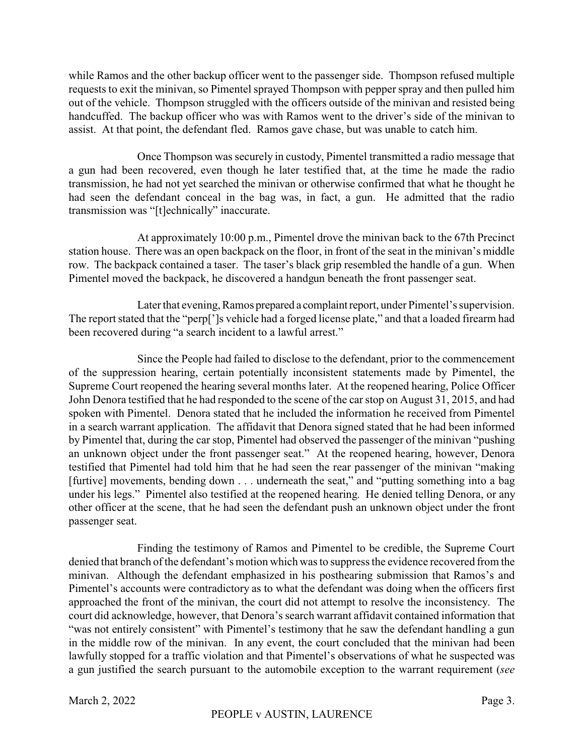while Ramos and the other backup officer went to the passenger side. Thompson refused multiple requests to exit the minivan, so Pimentel sprayed Thompson with pepper spray and then pulled him out of the vehicle. Thompson struggled with the officers outside of the minivan and resisted being handcuffed. The backup officer who was with Ramos went to the driver's side of the minivan to assist. At that point, the defendant fled. Ramos gave chase, but was unable to catch him.

Once Thompson was securely in custody, Pimentel transmitted a radio message that a gun had been recovered, even though he later testified that, at the time he made the radio transmission, he had not yet searched the minivan or otherwise confirmed that what he thought he had seen the defendant conceal in the bag was, in fact, a gun. He admitted that the radio transmission was "[t]echnically" inaccurate.

At approximately 10:00 p.m., Pimentel drove the minivan back to the 67th Precinct station house. There was an open backpack on the floor, in front of the seat in the minivan's middle row. The backpack contained a taser. The taser's black grip resembled the handle of a gun. When Pimentel moved the backpack, he discovered a handgun beneath the front passenger seat.

Later that evening, Ramos prepared a complaint report, under Pimentel's supervision. The report stated that the "perp[']s vehicle had a forged license plate," and that a loaded firearm had been recovered during "a search incident to a lawful arrest."

Since the People had failed to disclose to the defendant, prior to the commencement of the suppression hearing, certain potentially inconsistent statements made by Pimentel, the Supreme Court reopened the hearing several months later. At the reopened hearing, Police Officer John Denora testified that he had responded to the scene of the car stop on August 31, 2015, and had spoken with Pimentel. Denora stated that he included the information he received from Pimentel in a search warrant application. The affidavit that Denora signed stated that he had been informed by Pimentel that, during the car stop, Pimentel had observed the passenger of the minivan "pushing an unknown object under the front passenger seat." At the reopened hearing, however, Denora testified that Pimentel had told him that he had seen the rear passenger of the minivan "making [furtive] movements, bending down . . . underneath the seat," and "putting something into a bag under his legs." Pimentel also testified at the reopened hearing. He denied telling Denora, or any other officer at the scene, that he had seen the defendant push an unknown object under the front passenger seat.

Finding the testimony of Ramos and Pimentel to be credible, the Supreme Court denied that branch of the defendant's motion which was to suppress the evidence recovered from the minivan. Although the defendant emphasized in his posthearing submission that Ramos's and Pimentel's accounts were contradictory as to what the defendant was doing when the officers first approached the front of the minivan, the court did not attempt to resolve the inconsistency. The court did acknowledge, however, that Denora's search warrant affidavit contained information that "was not entirely consistent" with Pimentel's testimony that he saw the defendant handling a gun in the middle row of the minivan. In any event, the court concluded that the minivan had been lawfully stopped for a traffic violation and that Pimentel's observations of what he suspected was a gun justified the search pursuant to the automobile exception to the warrant requirement (*see*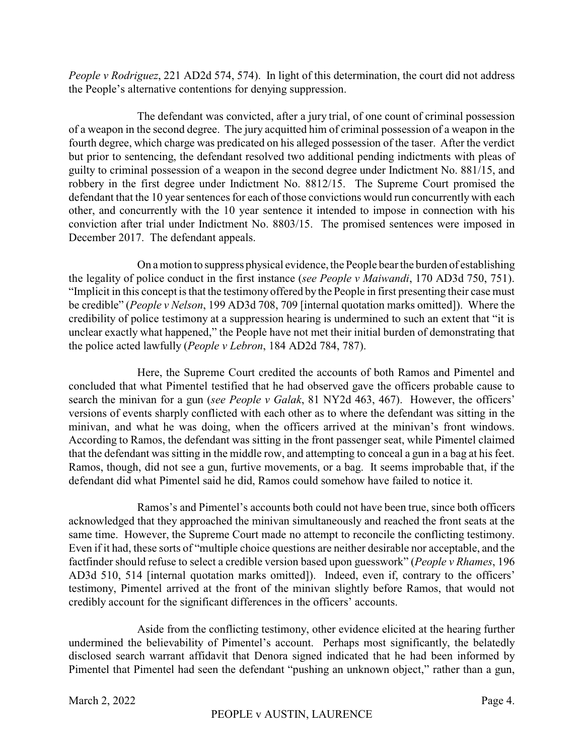*People v Rodriguez*, 221 AD2d 574, 574). In light of this determination, the court did not address the People's alternative contentions for denying suppression.

The defendant was convicted, after a jury trial, of one count of criminal possession of a weapon in the second degree. The jury acquitted him of criminal possession of a weapon in the fourth degree, which charge was predicated on his alleged possession of the taser. After the verdict but prior to sentencing, the defendant resolved two additional pending indictments with pleas of guilty to criminal possession of a weapon in the second degree under Indictment No. 881/15, and robbery in the first degree under Indictment No. 8812/15. The Supreme Court promised the defendant that the 10 year sentences for each of those convictions would run concurrently with each other, and concurrently with the 10 year sentence it intended to impose in connection with his conviction after trial under Indictment No. 8803/15. The promised sentences were imposed in December 2017. The defendant appeals.

On a motion to suppress physical evidence, the People bear the burden of establishing the legality of police conduct in the first instance (*see People v Maiwandi*, 170 AD3d 750, 751). "Implicit in this concept is that the testimony offered by the People in first presenting their case must be credible" (*People v Nelson*, 199 AD3d 708, 709 [internal quotation marks omitted]). Where the credibility of police testimony at a suppression hearing is undermined to such an extent that "it is unclear exactly what happened," the People have not met their initial burden of demonstrating that the police acted lawfully (*People v Lebron*, 184 AD2d 784, 787).

Here, the Supreme Court credited the accounts of both Ramos and Pimentel and concluded that what Pimentel testified that he had observed gave the officers probable cause to search the minivan for a gun (*see People v Galak*, 81 NY2d 463, 467). However, the officers' versions of events sharply conflicted with each other as to where the defendant was sitting in the minivan, and what he was doing, when the officers arrived at the minivan's front windows. According to Ramos, the defendant was sitting in the front passenger seat, while Pimentel claimed that the defendant was sitting in the middle row, and attempting to conceal a gun in a bag at his feet. Ramos, though, did not see a gun, furtive movements, or a bag. It seems improbable that, if the defendant did what Pimentel said he did, Ramos could somehow have failed to notice it.

Ramos's and Pimentel's accounts both could not have been true, since both officers acknowledged that they approached the minivan simultaneously and reached the front seats at the same time. However, the Supreme Court made no attempt to reconcile the conflicting testimony. Even if it had, these sorts of "multiple choice questions are neither desirable nor acceptable, and the factfinder should refuse to select a credible version based upon guesswork" (*People v Rhames*, 196 AD3d 510, 514 [internal quotation marks omitted]). Indeed, even if, contrary to the officers' testimony, Pimentel arrived at the front of the minivan slightly before Ramos, that would not credibly account for the significant differences in the officers' accounts.

Aside from the conflicting testimony, other evidence elicited at the hearing further undermined the believability of Pimentel's account. Perhaps most significantly, the belatedly disclosed search warrant affidavit that Denora signed indicated that he had been informed by Pimentel that Pimentel had seen the defendant "pushing an unknown object," rather than a gun,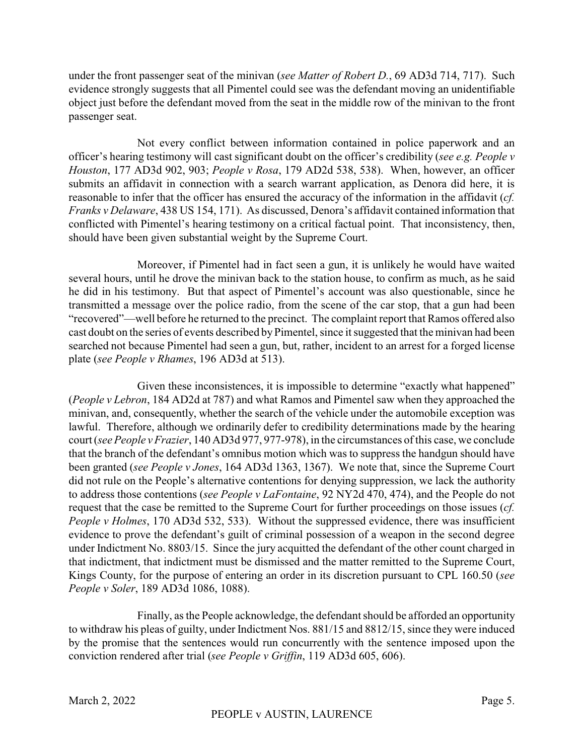under the front passenger seat of the minivan (*see Matter of Robert D.*, 69 AD3d 714, 717). Such evidence strongly suggests that all Pimentel could see was the defendant moving an unidentifiable object just before the defendant moved from the seat in the middle row of the minivan to the front passenger seat.

Not every conflict between information contained in police paperwork and an officer's hearing testimony will cast significant doubt on the officer's credibility (*see e.g. People v Houston*, 177 AD3d 902, 903; *People v Rosa*, 179 AD2d 538, 538). When, however, an officer submits an affidavit in connection with a search warrant application, as Denora did here, it is reasonable to infer that the officer has ensured the accuracy of the information in the affidavit (*cf. Franks v Delaware*, 438 US 154, 171). As discussed, Denora's affidavit contained information that conflicted with Pimentel's hearing testimony on a critical factual point. That inconsistency, then, should have been given substantial weight by the Supreme Court.

Moreover, if Pimentel had in fact seen a gun, it is unlikely he would have waited several hours, until he drove the minivan back to the station house, to confirm as much, as he said he did in his testimony. But that aspect of Pimentel's account was also questionable, since he transmitted a message over the police radio, from the scene of the car stop, that a gun had been "recovered"—well before he returned to the precinct. The complaint report that Ramos offered also cast doubt on the series of events described by Pimentel, since it suggested that the minivan had been searched not because Pimentel had seen a gun, but, rather, incident to an arrest for a forged license plate (*see People v Rhames*, 196 AD3d at 513).

Given these inconsistences, it is impossible to determine "exactly what happened" (*People v Lebron*, 184 AD2d at 787) and what Ramos and Pimentel saw when they approached the minivan, and, consequently, whether the search of the vehicle under the automobile exception was lawful. Therefore, although we ordinarily defer to credibility determinations made by the hearing court (*see People vFrazier*, 140 AD3d 977, 977-978), in the circumstances of this case, we conclude that the branch of the defendant's omnibus motion which was to suppress the handgun should have been granted (*see People v Jones*, 164 AD3d 1363, 1367). We note that, since the Supreme Court did not rule on the People's alternative contentions for denying suppression, we lack the authority to address those contentions (*see People v LaFontaine*, 92 NY2d 470, 474), and the People do not request that the case be remitted to the Supreme Court for further proceedings on those issues (*cf. People v Holmes*, 170 AD3d 532, 533). Without the suppressed evidence, there was insufficient evidence to prove the defendant's guilt of criminal possession of a weapon in the second degree under Indictment No. 8803/15. Since the jury acquitted the defendant of the other count charged in that indictment, that indictment must be dismissed and the matter remitted to the Supreme Court, Kings County, for the purpose of entering an order in its discretion pursuant to CPL 160.50 (*see People v Soler*, 189 AD3d 1086, 1088).

Finally, as the People acknowledge, the defendant should be afforded an opportunity to withdraw his pleas of guilty, under Indictment Nos. 881/15 and 8812/15, since they were induced by the promise that the sentences would run concurrently with the sentence imposed upon the conviction rendered after trial (*see People v Griffin*, 119 AD3d 605, 606).